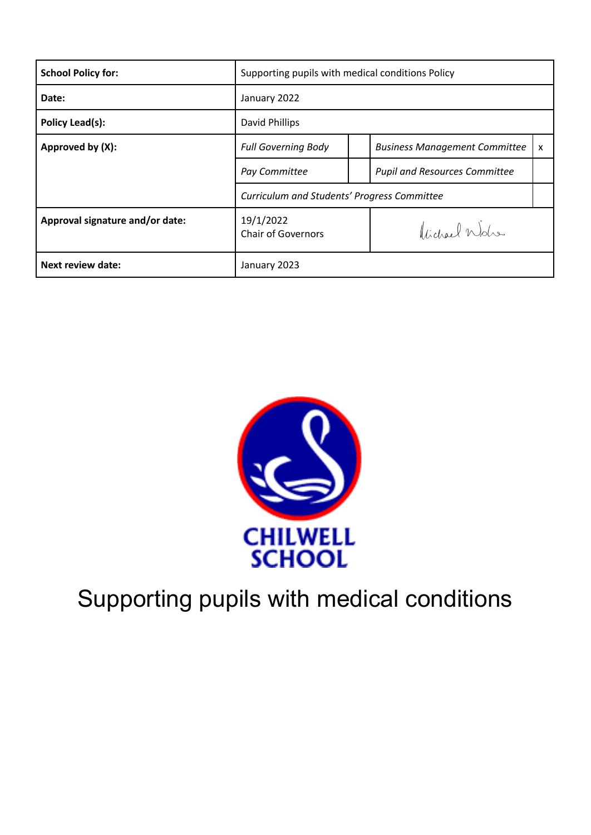| <b>School Policy for:</b>       | Supporting pupils with medical conditions Policy        |                                                      |  |
|---------------------------------|---------------------------------------------------------|------------------------------------------------------|--|
| Date:                           | January 2022                                            |                                                      |  |
| Policy Lead(s):                 | David Phillips                                          |                                                      |  |
| Approved by (X):                | <b>Full Governing Body</b>                              | <b>Business Management Committee</b><br>$\mathsf{x}$ |  |
|                                 | Pay Committee                                           | <b>Pupil and Resources Committee</b>                 |  |
|                                 | Curriculum and Students' Progress Committee             |                                                      |  |
| Approval signature and/or date: | 19/1/2022<br>Vidgael Walso<br><b>Chair of Governors</b> |                                                      |  |
| <b>Next review date:</b>        | January 2023                                            |                                                      |  |



# Supporting pupils with medical conditions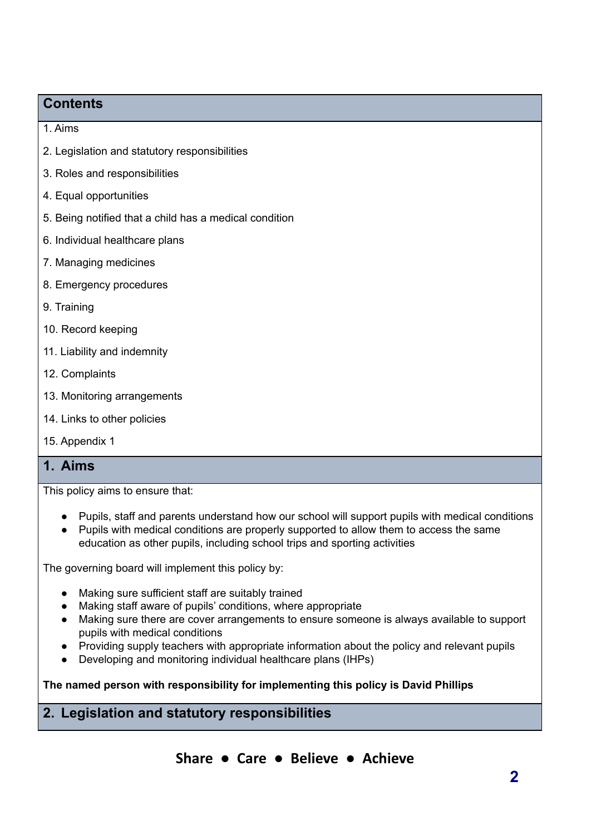## **Contents**

- 1. Aims
- 2. Legislation and statutory responsibilities
- 3. Roles and responsibilities
- 4. Equal opportunities
- 5. Being notified that a child has a medical condition
- 6. Individual healthcare plans
- 7. Managing medicines
- 8. Emergency procedures
- 9. Training
- 10. Record keeping
- 11. Liability and indemnity
- 12. Complaints
- 13. Monitoring arrangements
- 14. Links to other policies
- 15. Appendix 1

## **1. Aims**

This policy aims to ensure that:

- Pupils, staff and parents understand how our school will support pupils with medical conditions
- Pupils with medical conditions are properly supported to allow them to access the same education as other pupils, including school trips and sporting activities

The governing board will implement this policy by:

- Making sure sufficient staff are suitably trained
- Making staff aware of pupils' conditions, where appropriate
- Making sure there are cover arrangements to ensure someone is always available to support pupils with medical conditions
- Providing supply teachers with appropriate information about the policy and relevant pupils
- Developing and monitoring individual healthcare plans (IHPs)

**The named person with responsibility for implementing this policy is David Phillips**

## **2. Legislation and statutory responsibilities**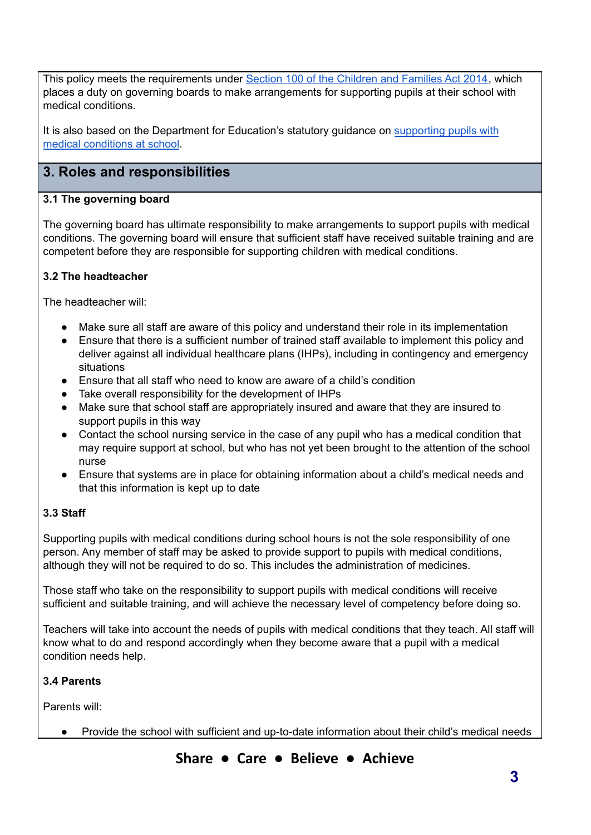This policy meets the requirements under Section 100 of the [Children](http://www.legislation.gov.uk/ukpga/2014/6/part/5/crossheading/pupils-with-medical-conditions) and Families Act 2014, which places a duty on governing boards to make arrangements for supporting pupils at their school with medical conditions.

It is also based on the Department for Education's statutory guidance on [supporting](https://www.gov.uk/government/publications/supporting-pupils-at-school-with-medical-conditions--3) pupils with medical [conditions](https://www.gov.uk/government/publications/supporting-pupils-at-school-with-medical-conditions--3) at school.

## **3. Roles and responsibilities**

#### **3.1 The governing board**

The governing board has ultimate responsibility to make arrangements to support pupils with medical conditions. The governing board will ensure that sufficient staff have received suitable training and are competent before they are responsible for supporting children with medical conditions.

#### **3.2 The headteacher**

The headteacher will:

- Make sure all staff are aware of this policy and understand their role in its implementation
- Ensure that there is a sufficient number of trained staff available to implement this policy and deliver against all individual healthcare plans (IHPs), including in contingency and emergency situations
- Ensure that all staff who need to know are aware of a child's condition
- Take overall responsibility for the development of IHPs
- Make sure that school staff are appropriately insured and aware that they are insured to support pupils in this way
- Contact the school nursing service in the case of any pupil who has a medical condition that may require support at school, but who has not yet been brought to the attention of the school nurse
- Ensure that systems are in place for obtaining information about a child's medical needs and that this information is kept up to date

#### **3.3 Staff**

Supporting pupils with medical conditions during school hours is not the sole responsibility of one person. Any member of staff may be asked to provide support to pupils with medical conditions, although they will not be required to do so. This includes the administration of medicines.

Those staff who take on the responsibility to support pupils with medical conditions will receive sufficient and suitable training, and will achieve the necessary level of competency before doing so.

Teachers will take into account the needs of pupils with medical conditions that they teach. All staff will know what to do and respond accordingly when they become aware that a pupil with a medical condition needs help.

#### **3.4 Parents**

Parents will:

● Provide the school with sufficient and up-to-date information about their child's medical needs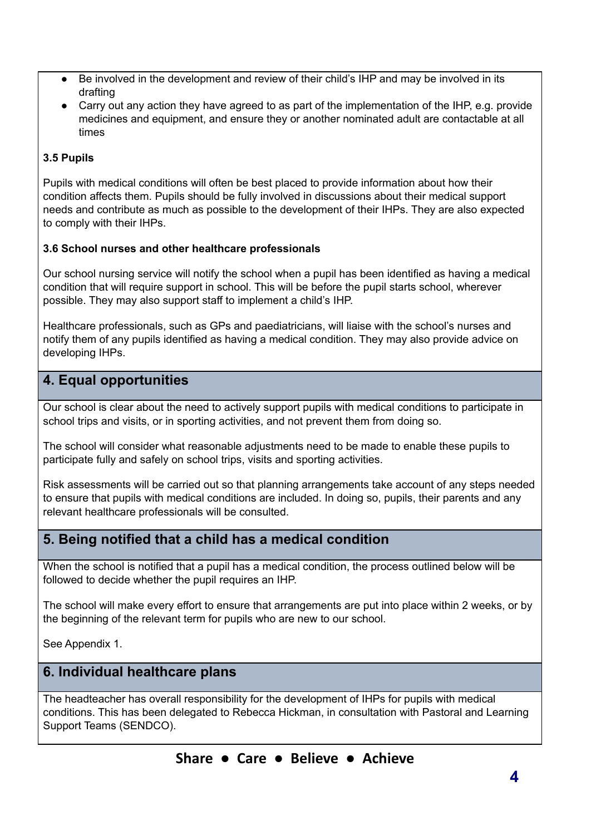- Be involved in the development and review of their child's IHP and may be involved in its drafting
- Carry out any action they have agreed to as part of the implementation of the IHP, e.g. provide medicines and equipment, and ensure they or another nominated adult are contactable at all times

#### **3.5 Pupils**

Pupils with medical conditions will often be best placed to provide information about how their condition affects them. Pupils should be fully involved in discussions about their medical support needs and contribute as much as possible to the development of their IHPs. They are also expected to comply with their IHPs.

#### **3.6 School nurses and other healthcare professionals**

Our school nursing service will notify the school when a pupil has been identified as having a medical condition that will require support in school. This will be before the pupil starts school, wherever possible. They may also support staff to implement a child's IHP.

Healthcare professionals, such as GPs and paediatricians, will liaise with the school's nurses and notify them of any pupils identified as having a medical condition. They may also provide advice on developing IHPs.

## **4. Equal opportunities**

Our school is clear about the need to actively support pupils with medical conditions to participate in school trips and visits, or in sporting activities, and not prevent them from doing so.

The school will consider what reasonable adjustments need to be made to enable these pupils to participate fully and safely on school trips, visits and sporting activities.

Risk assessments will be carried out so that planning arrangements take account of any steps needed to ensure that pupils with medical conditions are included. In doing so, pupils, their parents and any relevant healthcare professionals will be consulted.

## **5. Being notified that a child has a medical condition**

When the school is notified that a pupil has a medical condition, the process outlined below will be followed to decide whether the pupil requires an IHP.

The school will make every effort to ensure that arrangements are put into place within 2 weeks, or by the beginning of the relevant term for pupils who are new to our school.

See Appendix 1.

## **6. Individual healthcare plans**

The headteacher has overall responsibility for the development of IHPs for pupils with medical conditions. This has been delegated to Rebecca Hickman, in consultation with Pastoral and Learning Support Teams (SENDCO).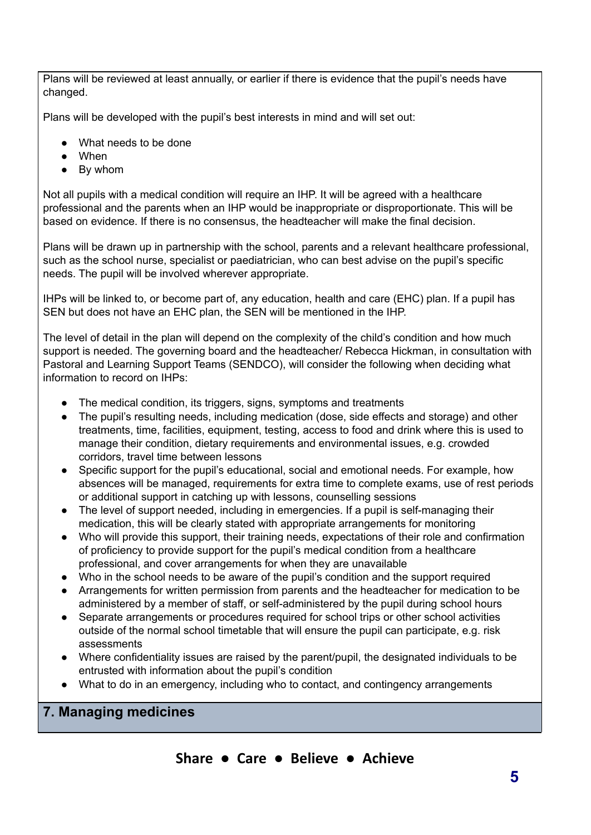Plans will be reviewed at least annually, or earlier if there is evidence that the pupil's needs have changed.

Plans will be developed with the pupil's best interests in mind and will set out:

- What needs to be done
- When
- By whom

Not all pupils with a medical condition will require an IHP. It will be agreed with a healthcare professional and the parents when an IHP would be inappropriate or disproportionate. This will be based on evidence. If there is no consensus, the headteacher will make the final decision.

Plans will be drawn up in partnership with the school, parents and a relevant healthcare professional, such as the school nurse, specialist or paediatrician, who can best advise on the pupil's specific needs. The pupil will be involved wherever appropriate.

IHPs will be linked to, or become part of, any education, health and care (EHC) plan. If a pupil has SEN but does not have an EHC plan, the SEN will be mentioned in the IHP.

The level of detail in the plan will depend on the complexity of the child's condition and how much support is needed. The governing board and the headteacher/ Rebecca Hickman, in consultation with Pastoral and Learning Support Teams (SENDCO), will consider the following when deciding what information to record on IHPs:

- The medical condition, its triggers, signs, symptoms and treatments
- The pupil's resulting needs, including medication (dose, side effects and storage) and other treatments, time, facilities, equipment, testing, access to food and drink where this is used to manage their condition, dietary requirements and environmental issues, e.g. crowded corridors, travel time between lessons
- Specific support for the pupil's educational, social and emotional needs. For example, how absences will be managed, requirements for extra time to complete exams, use of rest periods or additional support in catching up with lessons, counselling sessions
- The level of support needed, including in emergencies. If a pupil is self-managing their medication, this will be clearly stated with appropriate arrangements for monitoring
- Who will provide this support, their training needs, expectations of their role and confirmation of proficiency to provide support for the pupil's medical condition from a healthcare professional, and cover arrangements for when they are unavailable
- Who in the school needs to be aware of the pupil's condition and the support required
- Arrangements for written permission from parents and the headteacher for medication to be administered by a member of staff, or self-administered by the pupil during school hours
- Separate arrangements or procedures required for school trips or other school activities outside of the normal school timetable that will ensure the pupil can participate, e.g. risk assessments
- Where confidentiality issues are raised by the parent/pupil, the designated individuals to be entrusted with information about the pupil's condition
- What to do in an emergency, including who to contact, and contingency arrangements

## **7. Managing medicines**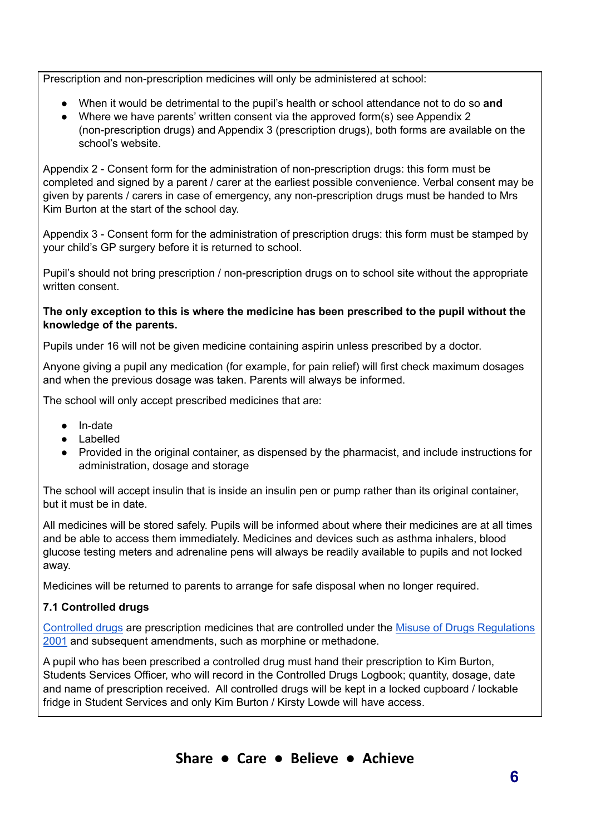Prescription and non-prescription medicines will only be administered at school:

- When it would be detrimental to the pupil's health or school attendance not to do so **and**
- Where we have parents' written consent via the approved form(s) see Appendix 2 (non-prescription drugs) and Appendix 3 (prescription drugs), both forms are available on the school's website.

Appendix 2 - Consent form for the administration of non-prescription drugs: this form must be completed and signed by a parent / carer at the earliest possible convenience. Verbal consent may be given by parents / carers in case of emergency, any non-prescription drugs must be handed to Mrs Kim Burton at the start of the school day.

Appendix 3 - Consent form for the administration of prescription drugs: this form must be stamped by your child's GP surgery before it is returned to school.

Pupil's should not bring prescription / non-prescription drugs on to school site without the appropriate written consent.

#### **The only exception to this is where the medicine has been prescribed to the pupil without the knowledge of the parents.**

Pupils under 16 will not be given medicine containing aspirin unless prescribed by a doctor.

Anyone giving a pupil any medication (for example, for pain relief) will first check maximum dosages and when the previous dosage was taken. Parents will always be informed.

The school will only accept prescribed medicines that are:

- In-date
- Labelled
- Provided in the original container, as dispensed by the pharmacist, and include instructions for administration, dosage and storage

The school will accept insulin that is inside an insulin pen or pump rather than its original container, but it must be in date.

All medicines will be stored safely. Pupils will be informed about where their medicines are at all times and be able to access them immediately. Medicines and devices such as asthma inhalers, blood glucose testing meters and adrenaline pens will always be readily available to pupils and not locked away.

Medicines will be returned to parents to arrange for safe disposal when no longer required.

#### **7.1 Controlled drugs**

[Controlled](http://www.nhs.uk/chq/Pages/1391.aspx?CategoryID=73) drugs are prescription medicines that are controlled under the Misuse of Drugs [Regulations](http://www.legislation.gov.uk/uksi/2001/3998/schedule/1/made) [2001](http://www.legislation.gov.uk/uksi/2001/3998/schedule/1/made) and subsequent amendments, such as morphine or methadone.

A pupil who has been prescribed a controlled drug must hand their prescription to Kim Burton, Students Services Officer, who will record in the Controlled Drugs Logbook; quantity, dosage, date and name of prescription received. All controlled drugs will be kept in a locked cupboard / lockable fridge in Student Services and only Kim Burton / Kirsty Lowde will have access.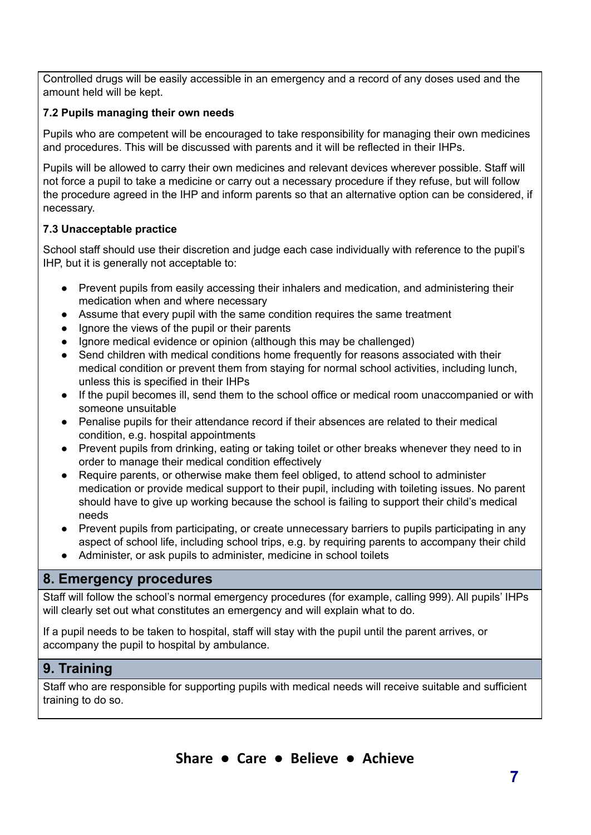Controlled drugs will be easily accessible in an emergency and a record of any doses used and the amount held will be kept.

#### **7.2 Pupils managing their own needs**

Pupils who are competent will be encouraged to take responsibility for managing their own medicines and procedures. This will be discussed with parents and it will be reflected in their IHPs.

Pupils will be allowed to carry their own medicines and relevant devices wherever possible. Staff will not force a pupil to take a medicine or carry out a necessary procedure if they refuse, but will follow the procedure agreed in the IHP and inform parents so that an alternative option can be considered, if necessary.

#### **7.3 Unacceptable practice**

School staff should use their discretion and judge each case individually with reference to the pupil's IHP, but it is generally not acceptable to:

- Prevent pupils from easily accessing their inhalers and medication, and administering their medication when and where necessary
- Assume that every pupil with the same condition requires the same treatment
- Ignore the views of the pupil or their parents
- Ignore medical evidence or opinion (although this may be challenged)
- Send children with medical conditions home frequently for reasons associated with their medical condition or prevent them from staying for normal school activities, including lunch, unless this is specified in their IHPs
- If the pupil becomes ill, send them to the school office or medical room unaccompanied or with someone unsuitable
- Penalise pupils for their attendance record if their absences are related to their medical condition, e.g. hospital appointments
- Prevent pupils from drinking, eating or taking toilet or other breaks whenever they need to in order to manage their medical condition effectively
- Require parents, or otherwise make them feel obliged, to attend school to administer medication or provide medical support to their pupil, including with toileting issues. No parent should have to give up working because the school is failing to support their child's medical needs
- Prevent pupils from participating, or create unnecessary barriers to pupils participating in any aspect of school life, including school trips, e.g. by requiring parents to accompany their child
- Administer, or ask pupils to administer, medicine in school toilets

## **8. Emergency procedures**

Staff will follow the school's normal emergency procedures (for example, calling 999). All pupils' IHPs will clearly set out what constitutes an emergency and will explain what to do.

If a pupil needs to be taken to hospital, staff will stay with the pupil until the parent arrives, or accompany the pupil to hospital by ambulance.

#### **9. Training**

Staff who are responsible for supporting pupils with medical needs will receive suitable and sufficient training to do so.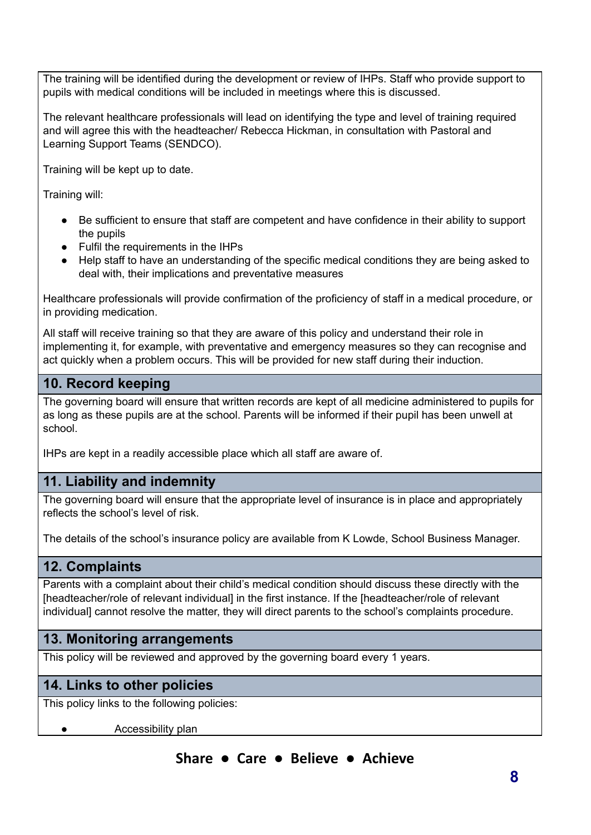The training will be identified during the development or review of IHPs. Staff who provide support to pupils with medical conditions will be included in meetings where this is discussed.

The relevant healthcare professionals will lead on identifying the type and level of training required and will agree this with the headteacher/ Rebecca Hickman, in consultation with Pastoral and Learning Support Teams (SENDCO).

Training will be kept up to date.

Training will:

- Be sufficient to ensure that staff are competent and have confidence in their ability to support the pupils
- Fulfil the requirements in the IHPs
- Help staff to have an understanding of the specific medical conditions they are being asked to deal with, their implications and preventative measures

Healthcare professionals will provide confirmation of the proficiency of staff in a medical procedure, or in providing medication.

All staff will receive training so that they are aware of this policy and understand their role in implementing it, for example, with preventative and emergency measures so they can recognise and act quickly when a problem occurs. This will be provided for new staff during their induction.

## **10. Record keeping**

The governing board will ensure that written records are kept of all medicine administered to pupils for as long as these pupils are at the school. Parents will be informed if their pupil has been unwell at school.

IHPs are kept in a readily accessible place which all staff are aware of.

## **11. Liability and indemnity**

The governing board will ensure that the appropriate level of insurance is in place and appropriately reflects the school's level of risk.

The details of the school's insurance policy are available from K Lowde, School Business Manager.

## **12. Complaints**

Parents with a complaint about their child's medical condition should discuss these directly with the [headteacher/role of relevant individual] in the first instance. If the [headteacher/role of relevant individual] cannot resolve the matter, they will direct parents to the school's complaints procedure.

## **13. Monitoring arrangements**

This policy will be reviewed and approved by the governing board every 1 years.

## **14. Links to other policies**

This policy links to the following policies:

Accessibility plan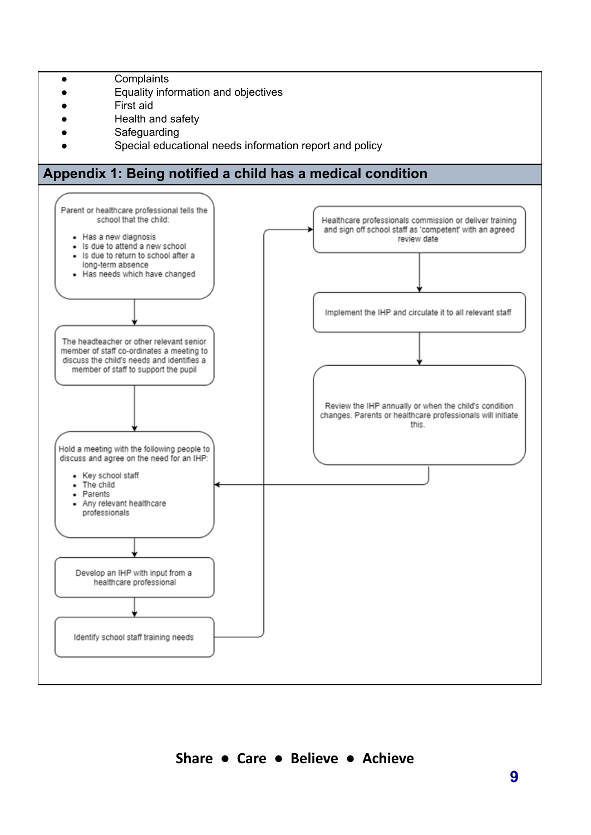- Complaints
- Equality information and objectives
- First aid
- Health and safety
- Safeguarding
- Special educational needs information report and policy

## **Appendix 1: Being notified a child has a medical condition**

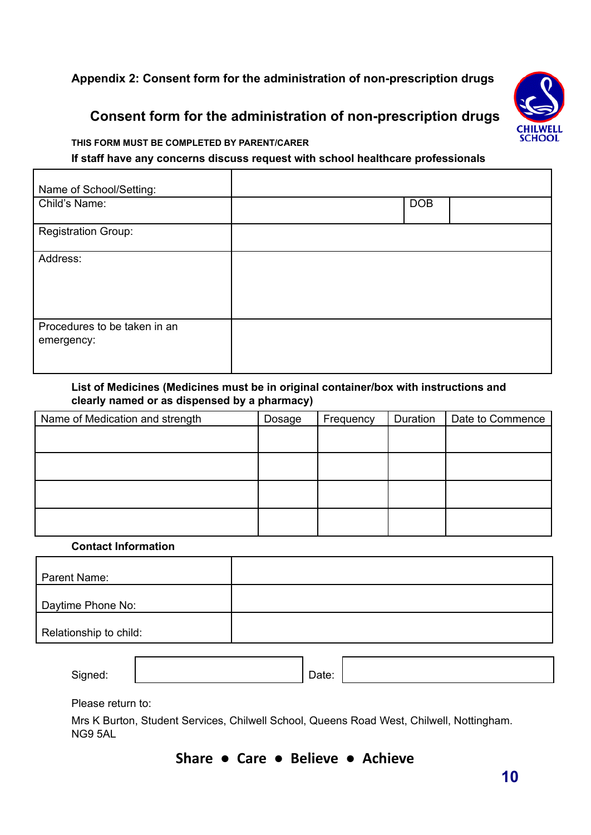## **Appendix 2: Consent form for the administration of non-prescription drugs**

## **Consent form for the administration of non-prescription drugs**



#### **THIS FORM MUST BE COMPLETED BY PARENT/CARER**

#### **If staff have any concerns discuss request with school healthcare professionals**

| Name of School/Setting:                    |            |  |
|--------------------------------------------|------------|--|
| Child's Name:                              | <b>DOB</b> |  |
| <b>Registration Group:</b>                 |            |  |
| Address:                                   |            |  |
| Procedures to be taken in an<br>emergency: |            |  |

#### **List of Medicines (Medicines must be in original container/box with instructions and clearly named or as dispensed by a pharmacy)**

| Dosage | Frequency | Duration | Date to Commence |
|--------|-----------|----------|------------------|
|        |           |          |                  |
|        |           |          |                  |
|        |           |          |                  |
|        |           |          |                  |
|        |           |          |                  |
|        |           |          |                  |
|        |           |          |                  |
|        |           |          |                  |
|        |           |          |                  |

#### **Contact Information**

| Parent Name:           |  |
|------------------------|--|
| Daytime Phone No:      |  |
| Relationship to child: |  |
|                        |  |

Signed:  $\vert$  Date:

Please return to:

Mrs K Burton, Student Services, Chilwell School, Queens Road West, Chilwell, Nottingham. NG9 5AL